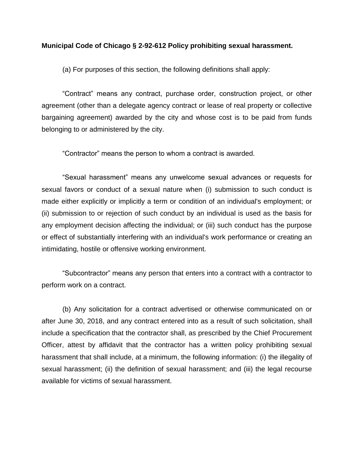## **Municipal Code of Chicago § 2-92-612 Policy prohibiting sexual harassment.**

(a) For purposes of this section, the following definitions shall apply:

"Contract" means any contract, purchase order, construction project, or other agreement (other than a delegate agency contract or lease of real property or collective bargaining agreement) awarded by the city and whose cost is to be paid from funds belonging to or administered by the city.

"Contractor" means the person to whom a contract is awarded.

"Sexual harassment" means any unwelcome sexual advances or requests for sexual favors or conduct of a sexual nature when (i) submission to such conduct is made either explicitly or implicitly a term or condition of an individual's employment; or (ii) submission to or rejection of such conduct by an individual is used as the basis for any employment decision affecting the individual; or (iii) such conduct has the purpose or effect of substantially interfering with an individual's work performance or creating an intimidating, hostile or offensive working environment.

"Subcontractor" means any person that enters into a contract with a contractor to perform work on a contract.

(b) Any solicitation for a contract advertised or otherwise communicated on or after June 30, 2018, and any contract entered into as a result of such solicitation, shall include a specification that the contractor shall, as prescribed by the Chief Procurement Officer, attest by affidavit that the contractor has a written policy prohibiting sexual harassment that shall include, at a minimum, the following information: (i) the illegality of sexual harassment; (ii) the definition of sexual harassment; and (iii) the legal recourse available for victims of sexual harassment.